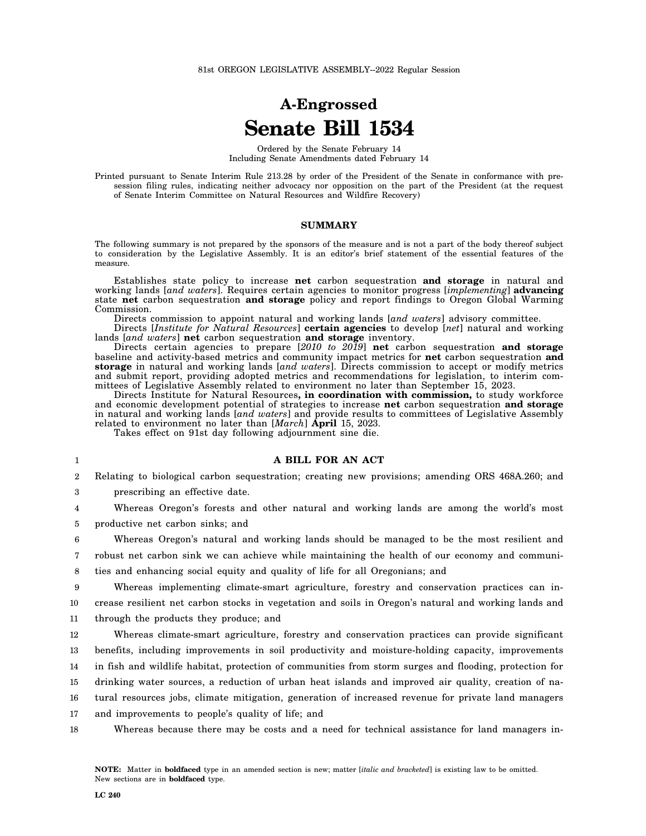# **A-Engrossed Senate Bill 1534**

Ordered by the Senate February 14 Including Senate Amendments dated February 14

Printed pursuant to Senate Interim Rule 213.28 by order of the President of the Senate in conformance with presession filing rules, indicating neither advocacy nor opposition on the part of the President (at the request of Senate Interim Committee on Natural Resources and Wildfire Recovery)

#### **SUMMARY**

The following summary is not prepared by the sponsors of the measure and is not a part of the body thereof subject to consideration by the Legislative Assembly. It is an editor's brief statement of the essential features of the measure.

Establishes state policy to increase **net** carbon sequestration **and storage** in natural and working lands [*and waters*]. Requires certain agencies to monitor progress [*implementing*] **advancing** state **net** carbon sequestration **and storage** policy and report findings to Oregon Global Warming Commission.

Directs commission to appoint natural and working lands [*and waters*] advisory committee.

Directs [*Institute for Natural Resources*] **certain agencies** to develop [*net*] natural and working lands [*and waters*] **net** carbon sequestration **and storage** inventory.

Directs certain agencies to prepare [*2010 to 2019*] **net** carbon sequestration **and storage** baseline and activity-based metrics and community impact metrics for **net** carbon sequestration **and storage** in natural and working lands [*and waters*]. Directs commission to accept or modify metrics and submit report, providing adopted metrics and recommendations for legislation, to interim committees of Legislative Assembly related to environment no later than September 15, 2023.

Directs Institute for Natural Resources**, in coordination with commission,** to study workforce and economic development potential of strategies to increase **net** carbon sequestration **and storage** in natural and working lands [*and waters*] and provide results to committees of Legislative Assembly related to environment no later than [*March*] **April** 15, 2023.

Takes effect on 91st day following adjournment sine die.

#### **A BILL FOR AN ACT**

2 3 Relating to biological carbon sequestration; creating new provisions; amending ORS 468A.260; and

prescribing an effective date.

1

4 5 Whereas Oregon's forests and other natural and working lands are among the world's most productive net carbon sinks; and

6 7 Whereas Oregon's natural and working lands should be managed to be the most resilient and robust net carbon sink we can achieve while maintaining the health of our economy and communi-

8 ties and enhancing social equity and quality of life for all Oregonians; and

9 10 11 Whereas implementing climate-smart agriculture, forestry and conservation practices can increase resilient net carbon stocks in vegetation and soils in Oregon's natural and working lands and through the products they produce; and

12 13 14 15 Whereas climate-smart agriculture, forestry and conservation practices can provide significant benefits, including improvements in soil productivity and moisture-holding capacity, improvements in fish and wildlife habitat, protection of communities from storm surges and flooding, protection for drinking water sources, a reduction of urban heat islands and improved air quality, creation of na-

16 tural resources jobs, climate mitigation, generation of increased revenue for private land managers

17 and improvements to people's quality of life; and

18 Whereas because there may be costs and a need for technical assistance for land managers in-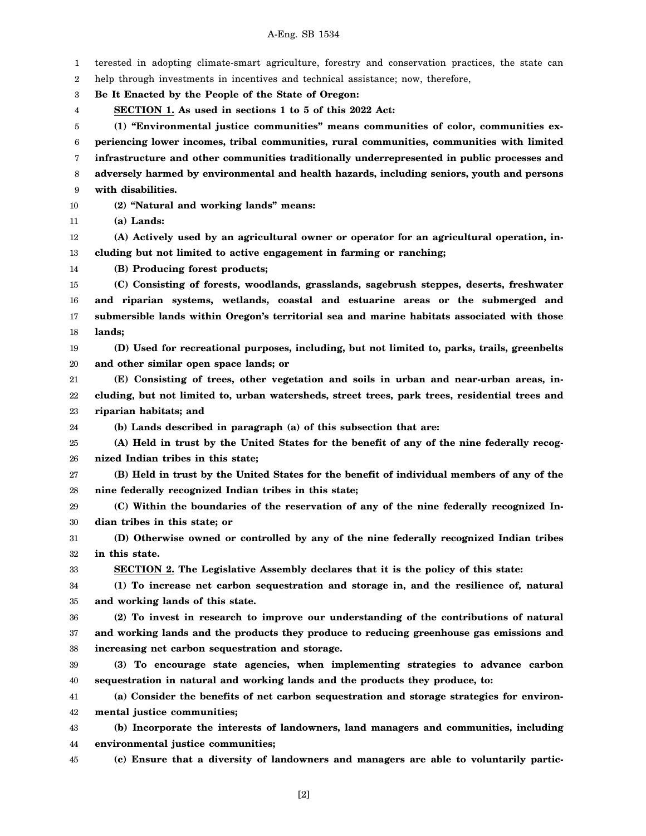1 2 3 4 5 6 7 8 9 10 11 12 13 14 15 16 17 18 19 20 21 22 23 24 25 26 27 28 29 30 31 32 33 34 35 36 37 38 39 40 41 42 43 44 45 terested in adopting climate-smart agriculture, forestry and conservation practices, the state can help through investments in incentives and technical assistance; now, therefore, **Be It Enacted by the People of the State of Oregon: SECTION 1. As used in sections 1 to 5 of this 2022 Act: (1) "Environmental justice communities" means communities of color, communities experiencing lower incomes, tribal communities, rural communities, communities with limited infrastructure and other communities traditionally underrepresented in public processes and adversely harmed by environmental and health hazards, including seniors, youth and persons with disabilities. (2) "Natural and working lands" means: (a) Lands: (A) Actively used by an agricultural owner or operator for an agricultural operation, including but not limited to active engagement in farming or ranching; (B) Producing forest products; (C) Consisting of forests, woodlands, grasslands, sagebrush steppes, deserts, freshwater and riparian systems, wetlands, coastal and estuarine areas or the submerged and submersible lands within Oregon's territorial sea and marine habitats associated with those lands; (D) Used for recreational purposes, including, but not limited to, parks, trails, greenbelts and other similar open space lands; or (E) Consisting of trees, other vegetation and soils in urban and near-urban areas, including, but not limited to, urban watersheds, street trees, park trees, residential trees and riparian habitats; and (b) Lands described in paragraph (a) of this subsection that are: (A) Held in trust by the United States for the benefit of any of the nine federally recognized Indian tribes in this state; (B) Held in trust by the United States for the benefit of individual members of any of the nine federally recognized Indian tribes in this state; (C) Within the boundaries of the reservation of any of the nine federally recognized Indian tribes in this state; or (D) Otherwise owned or controlled by any of the nine federally recognized Indian tribes in this state. SECTION 2. The Legislative Assembly declares that it is the policy of this state: (1) To increase net carbon sequestration and storage in, and the resilience of, natural and working lands of this state. (2) To invest in research to improve our understanding of the contributions of natural and working lands and the products they produce to reducing greenhouse gas emissions and increasing net carbon sequestration and storage. (3) To encourage state agencies, when implementing strategies to advance carbon sequestration in natural and working lands and the products they produce, to: (a) Consider the benefits of net carbon sequestration and storage strategies for environmental justice communities; (b) Incorporate the interests of landowners, land managers and communities, including environmental justice communities; (c) Ensure that a diversity of landowners and managers are able to voluntarily partic-**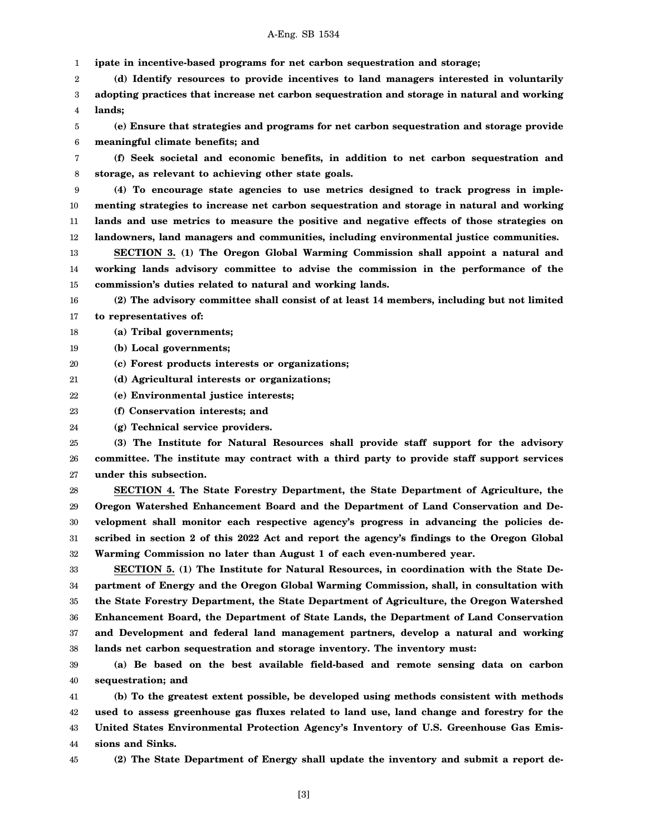1 **ipate in incentive-based programs for net carbon sequestration and storage;**

2 3 4 **(d) Identify resources to provide incentives to land managers interested in voluntarily adopting practices that increase net carbon sequestration and storage in natural and working lands;**

5 6 **(e) Ensure that strategies and programs for net carbon sequestration and storage provide meaningful climate benefits; and**

7 8 **(f) Seek societal and economic benefits, in addition to net carbon sequestration and storage, as relevant to achieving other state goals.**

9 10 11 12 **(4) To encourage state agencies to use metrics designed to track progress in implementing strategies to increase net carbon sequestration and storage in natural and working lands and use metrics to measure the positive and negative effects of those strategies on landowners, land managers and communities, including environmental justice communities.**

13 14 15 **SECTION 3. (1) The Oregon Global Warming Commission shall appoint a natural and working lands advisory committee to advise the commission in the performance of the commission's duties related to natural and working lands.**

16 17 **(2) The advisory committee shall consist of at least 14 members, including but not limited to representatives of:**

18 **(a) Tribal governments;**

19 **(b) Local governments;**

20 **(c) Forest products interests or organizations;**

21 **(d) Agricultural interests or organizations;**

22 **(e) Environmental justice interests;**

23 **(f) Conservation interests; and**

24 **(g) Technical service providers.**

25 26 27 **(3) The Institute for Natural Resources shall provide staff support for the advisory committee. The institute may contract with a third party to provide staff support services under this subsection.**

28 29 30 31 32 **SECTION 4. The State Forestry Department, the State Department of Agriculture, the Oregon Watershed Enhancement Board and the Department of Land Conservation and Development shall monitor each respective agency's progress in advancing the policies described in section 2 of this 2022 Act and report the agency's findings to the Oregon Global Warming Commission no later than August 1 of each even-numbered year.**

33 34 35 36 37 38 **SECTION 5. (1) The Institute for Natural Resources, in coordination with the State Department of Energy and the Oregon Global Warming Commission, shall, in consultation with the State Forestry Department, the State Department of Agriculture, the Oregon Watershed Enhancement Board, the Department of State Lands, the Department of Land Conservation and Development and federal land management partners, develop a natural and working lands net carbon sequestration and storage inventory. The inventory must:**

39 40 **(a) Be based on the best available field-based and remote sensing data on carbon sequestration; and**

41 42 43 44 **(b) To the greatest extent possible, be developed using methods consistent with methods used to assess greenhouse gas fluxes related to land use, land change and forestry for the United States Environmental Protection Agency's Inventory of U.S. Greenhouse Gas Emissions and Sinks.**

45

**(2) The State Department of Energy shall update the inventory and submit a report de-**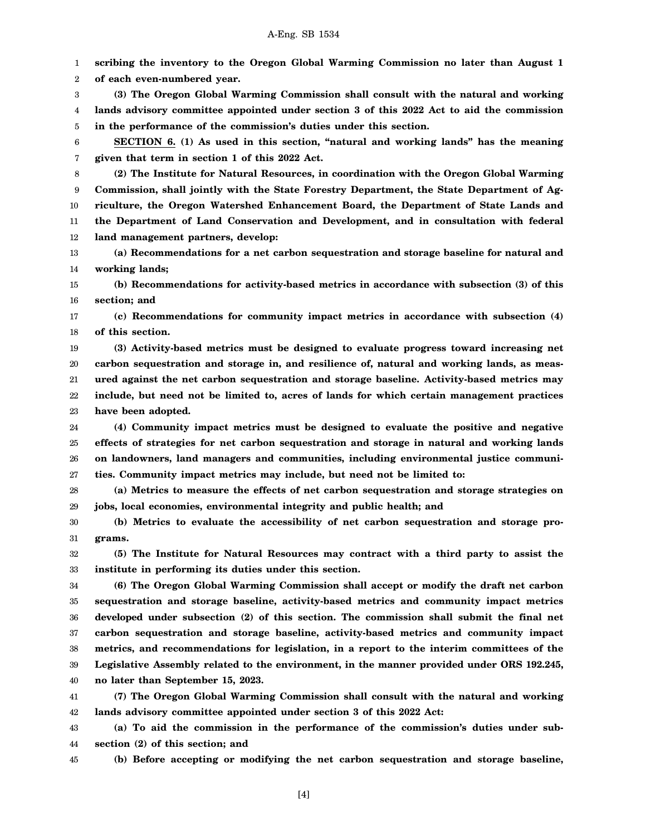1 2 3 4 5 6 7 8 9 10 11 12 13 14 15 16 17 18 19 20 21 22 23 24 25 26 27 **scribing the inventory to the Oregon Global Warming Commission no later than August 1 of each even-numbered year. (3) The Oregon Global Warming Commission shall consult with the natural and working lands advisory committee appointed under section 3 of this 2022 Act to aid the commission in the performance of the commission's duties under this section. SECTION 6. (1) As used in this section, "natural and working lands" has the meaning given that term in section 1 of this 2022 Act. (2) The Institute for Natural Resources, in coordination with the Oregon Global Warming Commission, shall jointly with the State Forestry Department, the State Department of Agriculture, the Oregon Watershed Enhancement Board, the Department of State Lands and the Department of Land Conservation and Development, and in consultation with federal land management partners, develop: (a) Recommendations for a net carbon sequestration and storage baseline for natural and working lands; (b) Recommendations for activity-based metrics in accordance with subsection (3) of this section; and (c) Recommendations for community impact metrics in accordance with subsection (4) of this section. (3) Activity-based metrics must be designed to evaluate progress toward increasing net carbon sequestration and storage in, and resilience of, natural and working lands, as measured against the net carbon sequestration and storage baseline. Activity-based metrics may include, but need not be limited to, acres of lands for which certain management practices have been adopted. (4) Community impact metrics must be designed to evaluate the positive and negative effects of strategies for net carbon sequestration and storage in natural and working lands on landowners, land managers and communities, including environmental justice communities. Community impact metrics may include, but need not be limited to:**

28 29 **(a) Metrics to measure the effects of net carbon sequestration and storage strategies on jobs, local economies, environmental integrity and public health; and**

30 31 **(b) Metrics to evaluate the accessibility of net carbon sequestration and storage programs.**

32 33 **(5) The Institute for Natural Resources may contract with a third party to assist the institute in performing its duties under this section.**

34 35 36 37 38 39 40 **(6) The Oregon Global Warming Commission shall accept or modify the draft net carbon sequestration and storage baseline, activity-based metrics and community impact metrics developed under subsection (2) of this section. The commission shall submit the final net carbon sequestration and storage baseline, activity-based metrics and community impact metrics, and recommendations for legislation, in a report to the interim committees of the Legislative Assembly related to the environment, in the manner provided under ORS 192.245, no later than September 15, 2023.**

41 42 **(7) The Oregon Global Warming Commission shall consult with the natural and working lands advisory committee appointed under section 3 of this 2022 Act:**

43 44 **(a) To aid the commission in the performance of the commission's duties under subsection (2) of this section; and**

**(b) Before accepting or modifying the net carbon sequestration and storage baseline,**

45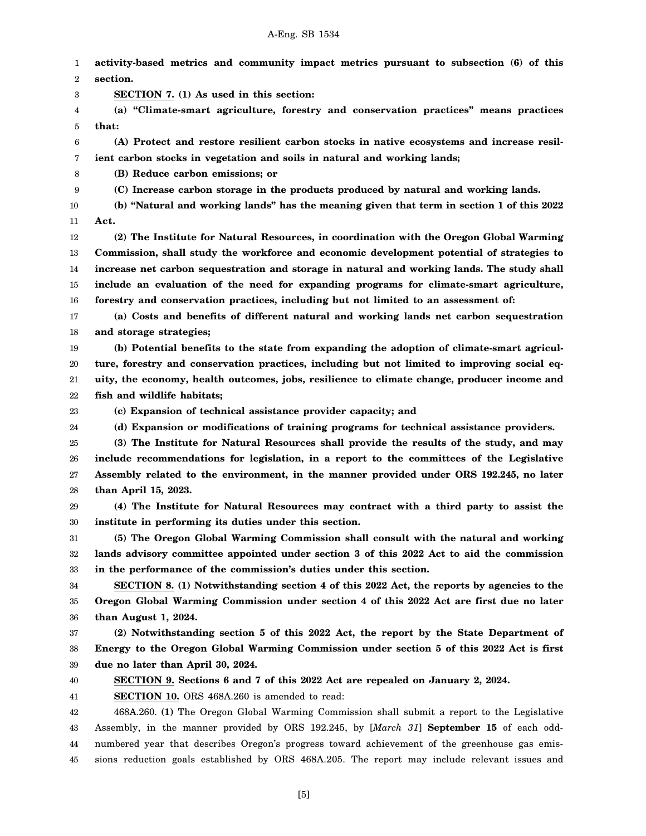1 2 3 4 5 6 7 8 9 10 11 12 13 14 15 16 17 18 19 20 21 22 23 24 25 26 27 28 29 30 31 32 33 34 35 36 37 38 39 40 41 42 43 44 **activity-based metrics and community impact metrics pursuant to subsection (6) of this section. SECTION 7. (1) As used in this section: (a) "Climate-smart agriculture, forestry and conservation practices" means practices that: (A) Protect and restore resilient carbon stocks in native ecosystems and increase resilient carbon stocks in vegetation and soils in natural and working lands; (B) Reduce carbon emissions; or (C) Increase carbon storage in the products produced by natural and working lands. (b) "Natural and working lands" has the meaning given that term in section 1 of this 2022 Act. (2) The Institute for Natural Resources, in coordination with the Oregon Global Warming Commission, shall study the workforce and economic development potential of strategies to increase net carbon sequestration and storage in natural and working lands. The study shall include an evaluation of the need for expanding programs for climate-smart agriculture, forestry and conservation practices, including but not limited to an assessment of: (a) Costs and benefits of different natural and working lands net carbon sequestration and storage strategies; (b) Potential benefits to the state from expanding the adoption of climate-smart agriculture, forestry and conservation practices, including but not limited to improving social equity, the economy, health outcomes, jobs, resilience to climate change, producer income and fish and wildlife habitats; (c) Expansion of technical assistance provider capacity; and (d) Expansion or modifications of training programs for technical assistance providers. (3) The Institute for Natural Resources shall provide the results of the study, and may include recommendations for legislation, in a report to the committees of the Legislative Assembly related to the environment, in the manner provided under ORS 192.245, no later than April 15, 2023. (4) The Institute for Natural Resources may contract with a third party to assist the institute in performing its duties under this section. (5) The Oregon Global Warming Commission shall consult with the natural and working lands advisory committee appointed under section 3 of this 2022 Act to aid the commission in the performance of the commission's duties under this section. SECTION 8. (1) Notwithstanding section 4 of this 2022 Act, the reports by agencies to the Oregon Global Warming Commission under section 4 of this 2022 Act are first due no later than August 1, 2024. (2) Notwithstanding section 5 of this 2022 Act, the report by the State Department of Energy to the Oregon Global Warming Commission under section 5 of this 2022 Act is first due no later than April 30, 2024. SECTION 9. Sections 6 and 7 of this 2022 Act are repealed on January 2, 2024. SECTION 10.** ORS 468A.260 is amended to read: 468A.260. **(1)** The Oregon Global Warming Commission shall submit a report to the Legislative Assembly, in the manner provided by ORS 192.245, by [*March 31*] **September 15** of each oddnumbered year that describes Oregon's progress toward achievement of the greenhouse gas emis-

[5]

sions reduction goals established by ORS 468A.205. The report may include relevant issues and

45